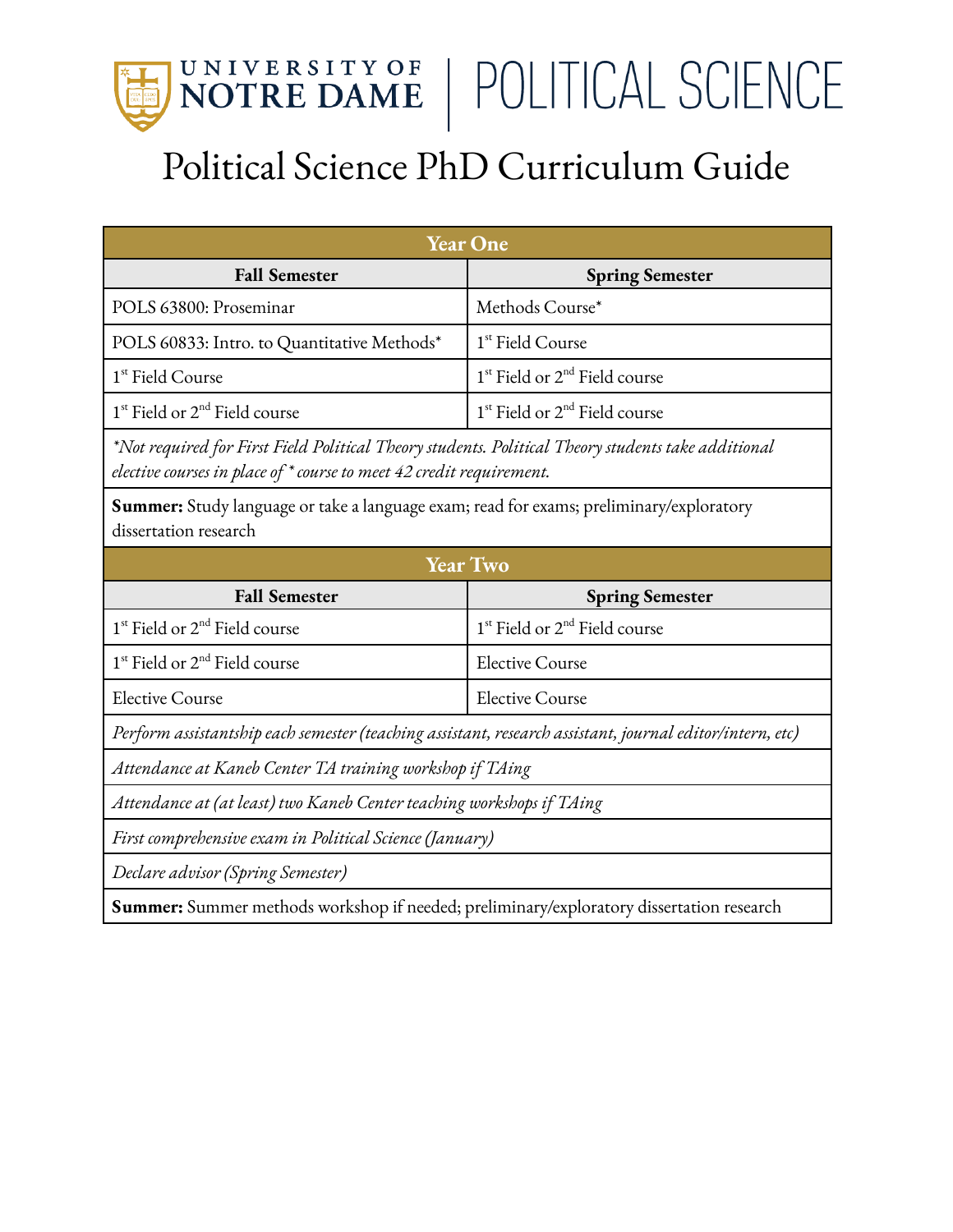

## Political Science PhD Curriculum Guide

| <b>Year One</b>                                                                                                                                                            |                                                       |  |
|----------------------------------------------------------------------------------------------------------------------------------------------------------------------------|-------------------------------------------------------|--|
| <b>Fall Semester</b>                                                                                                                                                       | <b>Spring Semester</b>                                |  |
| POLS 63800: Proseminar                                                                                                                                                     | Methods Course*                                       |  |
| POLS 60833: Intro. to Quantitative Methods*                                                                                                                                | 1 <sup>st</sup> Field Course                          |  |
| 1 <sup>st</sup> Field Course                                                                                                                                               | 1 <sup>st</sup> Field or 2 <sup>nd</sup> Field course |  |
| $1st$ Field or $2nd$ Field course                                                                                                                                          | $1st$ Field or $2nd$ Field course                     |  |
| Not required for First Field Political Theory students. Political Theory students take additional*<br>elective courses in place of * course to meet 42 credit requirement. |                                                       |  |
| <b>Summer:</b> Study language or take a language exam; read for exams; preliminary/exploratory<br>dissertation research                                                    |                                                       |  |
| <b>Year Two</b>                                                                                                                                                            |                                                       |  |
| <b>Fall Semester</b>                                                                                                                                                       | <b>Spring Semester</b>                                |  |
| 1 <sup>st</sup> Field or 2 <sup>nd</sup> Field course                                                                                                                      | 1 <sup>st</sup> Field or 2 <sup>nd</sup> Field course |  |
| 1 <sup>st</sup> Field or 2 <sup>nd</sup> Field course                                                                                                                      | <b>Elective Course</b>                                |  |
| <b>Elective Course</b>                                                                                                                                                     | <b>Elective Course</b>                                |  |
| Perform assistantship each semester (teaching assistant, research assistant, journal editor/intern, etc)                                                                   |                                                       |  |
| Attendance at Kaneb Center TA training workshop if TAing                                                                                                                   |                                                       |  |
| Attendance at (at least) two Kaneb Center teaching workshops if TAing                                                                                                      |                                                       |  |
| First comprehensive exam in Political Science (January)                                                                                                                    |                                                       |  |
| Declare advisor (Spring Semester)                                                                                                                                          |                                                       |  |

**Summer:** Summer methods workshop if needed; preliminary/exploratory dissertation research